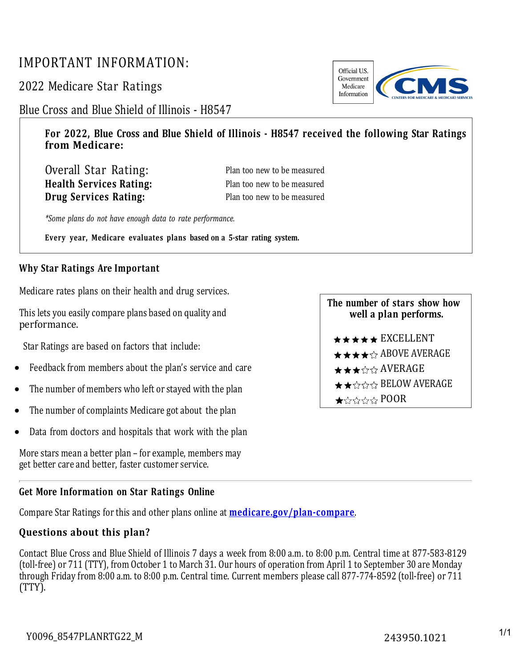## IMPORTANT INFORMATION:

2022 Medicare Star Ratings



Blue Cross and Blue Shield of Illinois - H8547

**For 2022, Blue Cross and Blue Shield of Illinois - H8547 received the following Star Ratings from Medicare:**

| Overall Star Rating:           |  |
|--------------------------------|--|
| <b>Health Services Rating:</b> |  |
| <b>Drug Services Rating:</b>   |  |

Plan too new to be measured Plan too new to be measured Plan too new to be measured

*\*Some plans do not have enough data to rate performance.*

**Every year, Medicare evaluates plans based on a 5-star rating system.**

## **Why Star Ratings Are Important**

Medicare rates plans on their health and drug services.

This lets you easily compare plans based on quality and performance.

Star Ratings are based on factors that include:

- Feedback from members about the plan's service and care
- The number of members who left or stayed with the plan
- The number of complaints Medicare got about the plan
- Data from doctors and hospitals that work with the plan

More stars mean a better plan – for example, members may get better care and better, faster customer service.

## **Get More Information on Star Ratings Online**

Compare Star Ratings for this and other plans online at **[medicare.gov/plan-compare](http://www.medicare.gov/plan-compare/)**.

## **Questions about this plan?**

Contact Blue Cross and Blue Shield of Illinois 7 days a week from 8:00 a.m. to 8:00 p.m. Central time at 877-583-8129 (toll-free) or 711 (TTY), from October 1 to March 31. Our hours of operation from April 1 to September 30 are Monday through Friday from 8:00 a.m. to 8:00 p.m. Central time. Current members please call 877-774-8592 (toll-free) or 711 (TTY).